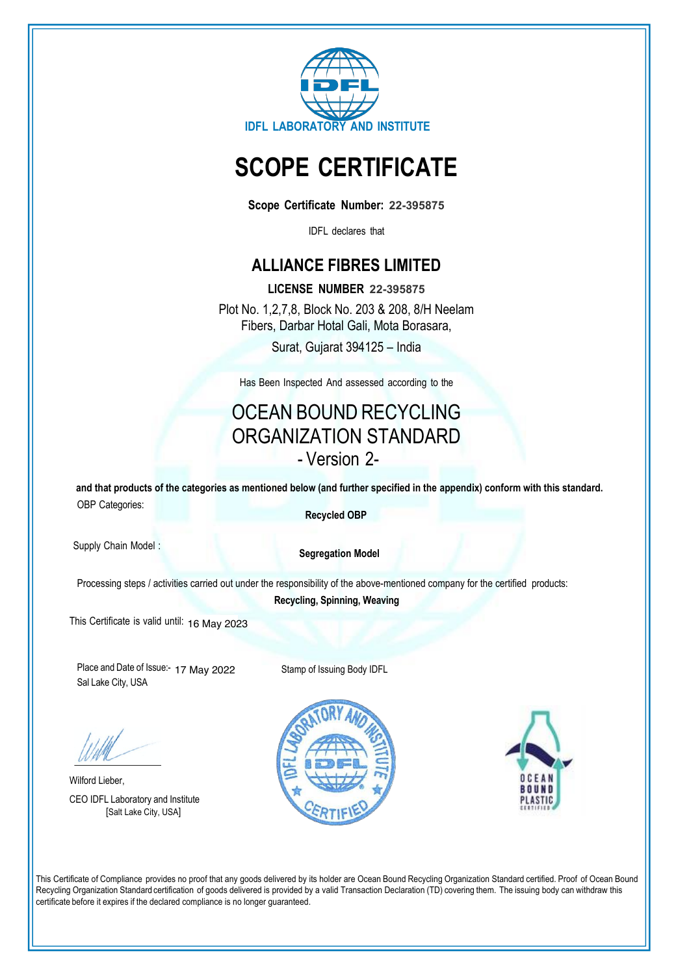

# **SCOPE CERTIFICATE**

**Scope Certificate Number: 22-395875**

IDFL declares that

# **ALLIANCE FIBRES LIMITED**

**LICENSE NUMBER 22-395875** Plot No. 1,2,7,8, Block No. 203 & 208, 8/H Neelam Fibers, Darbar Hotal Gali, Mota Borasara, Surat, Gujarat 394125 - India

Has Been Inspected And assessed according to the

# OCEAN BOUND RECYCLING ORGANIZATION STANDARD - Version 2-

**and that products of the categories as mentioned below (and further specified in the appendix) conform with this standard.** OBP Categories:

 **Recycled OBP**

Supply Chain Model :

 **Segregation Model**

Processing steps / activities carried out under the responsibility of the above-mentioned company for the certified products:

**Recycling, Spinning, Weaving**

This Certificate is valid until: 16 May 2023

Place and Date of Issue:- 17 May 2022Sal Lake City, USA

Stamp of Issuing Body IDFL

Wilford Lieber, CEO IDFL Laboratory and Institute [Salt Lake City, USA]





This Certificate of Compliance provides no proof that any goods delivered by its holder are Ocean Bound Recycling Organization Standard certified. Proof of Ocean Bound Recycling Organization Standard certification of goods delivered is provided by a valid Transaction Declaration (TD) covering them. The issuing body can withdraw this certificate before it expires if the declared compliance is no longer guaranteed.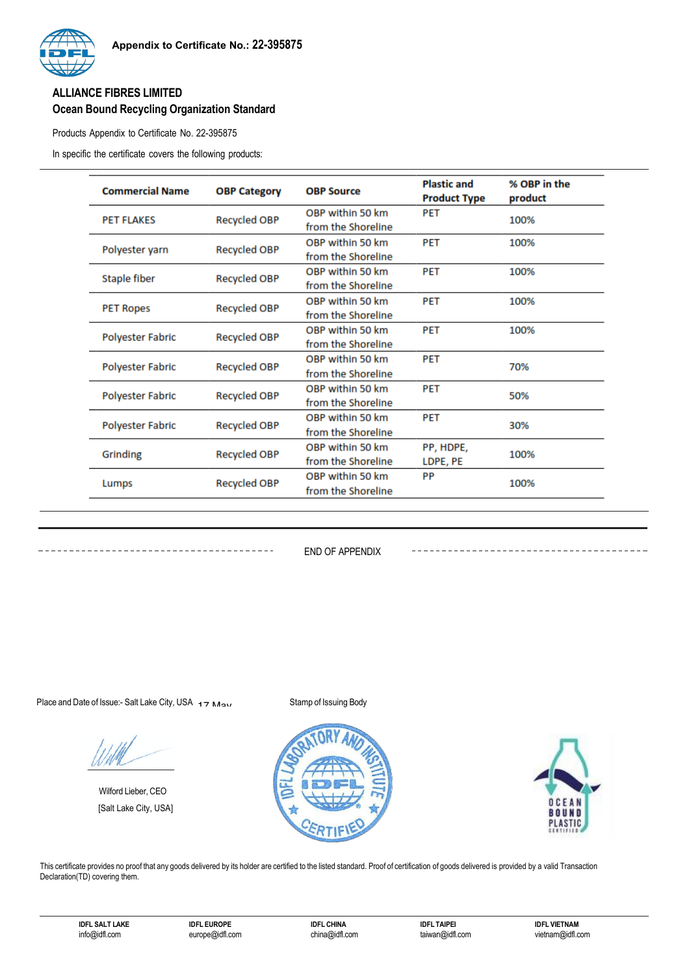## **ALLIANCE FIBRES LIMITED Ocean Bound Recycling Organization Standard**

Products Appendix to Certificate No. 22-395875

In specific the certificate covers the following products:

| <b>Commercial Name</b>  | <b>OBP Category</b> | <b>OBP Source</b>  | <b>Plastic and</b><br><b>Product Type</b> | % OBP in the<br>product |
|-------------------------|---------------------|--------------------|-------------------------------------------|-------------------------|
| <b>PET FLAKES</b>       | <b>Recycled OBP</b> | OBP within 50 km   | <b>PET</b>                                | 100%                    |
|                         |                     | from the Shoreline |                                           |                         |
| Polyester yarn          | <b>Recycled OBP</b> | OBP within 50 km   | <b>PET</b>                                | 100%                    |
|                         |                     | from the Shoreline |                                           |                         |
| Staple fiber            | <b>Recycled OBP</b> | OBP within 50 km   | <b>PET</b>                                | 100%                    |
|                         |                     | from the Shoreline |                                           |                         |
| <b>PET Ropes</b>        | <b>Recycled OBP</b> | OBP within 50 km   | <b>PET</b>                                | 100%                    |
|                         |                     | from the Shoreline |                                           |                         |
| <b>Polyester Fabric</b> | <b>Recycled OBP</b> | OBP within 50 km   | <b>PET</b>                                | 100%                    |
|                         |                     | from the Shoreline |                                           |                         |
| <b>Polyester Fabric</b> | <b>Recycled OBP</b> | OBP within 50 km   | <b>PET</b>                                |                         |
|                         |                     | from the Shoreline |                                           | 70%                     |
|                         | <b>Recycled OBP</b> | OBP within 50 km   | <b>PET</b>                                |                         |
| <b>Polyester Fabric</b> |                     | from the Shoreline |                                           | 50%                     |
| <b>Polyester Fabric</b> | <b>Recycled OBP</b> | OBP within 50 km   | <b>PET</b>                                |                         |
|                         |                     | from the Shoreline |                                           | 30%                     |
| Grinding                | <b>Recycled OBP</b> | OBP within 50 km   | PP, HDPE,                                 |                         |
|                         |                     | from the Shoreline | LDPE, PE                                  | 100%                    |
| Lumps                   | <b>Recycled OBP</b> | OBP within 50 km   | PP                                        |                         |
|                         |                     | from the Shoreline |                                           | 100%                    |

END OF APPENDIX

Place and Date of Issue:- Salt Lake City, USA  $\overline{17}$  May

---------------------------

Wilford Lieber, CEO [Salt Lake City, USA]





---------------------------------

This certificate provides no proof that any goods delivered by its holder are certified to the listed standard. Proof of certification of goods delivered is provided by a valid Transaction Declaration(TD) covering them.